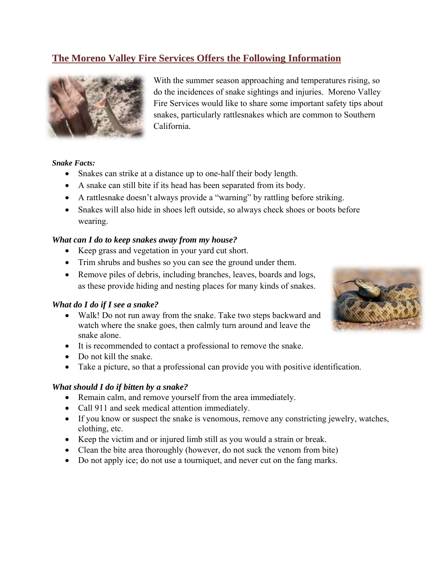# **The Moreno Valley Fire Services Offers the Following Information**



With the summer season approaching and temperatures rising, so do the incidences of snake sightings and injuries. Moreno Valley Fire Services would like to share some important safety tips about snakes, particularly rattlesnakes which are common to Southern California.

### *Snake Facts:*

- Snakes can strike at a distance up to one-half their body length.
- A snake can still bite if its head has been separated from its body.
- A rattlesnake doesn't always provide a "warning" by rattling before striking.
- Snakes will also hide in shoes left outside, so always check shoes or boots before wearing.

### *What can I do to keep snakes away from my house?*

- Keep grass and vegetation in your yard cut short.
- Trim shrubs and bushes so you can see the ground under them.
- Remove piles of debris, including branches, leaves, boards and logs, as these provide hiding and nesting places for many kinds of snakes.

#### *What do I do if I see a snake?*

- Walk! Do not run away from the snake. Take two steps backward and watch where the snake goes, then calmly turn around and leave the snake alone.
- It is recommended to contact a professional to remove the snake.
- Do not kill the snake.
- Take a picture, so that a professional can provide you with positive identification.

#### *What should I do if bitten by a snake?*

- Remain calm, and remove yourself from the area immediately.
- Call 911 and seek medical attention immediately.
- If you know or suspect the snake is venomous, remove any constricting jewelry, watches, clothing, etc.
- Keep the victim and or injured limb still as you would a strain or break.
- Clean the bite area thoroughly (however, do not suck the venom from bite)
- Do not apply ice; do not use a tourniquet, and never cut on the fang marks.

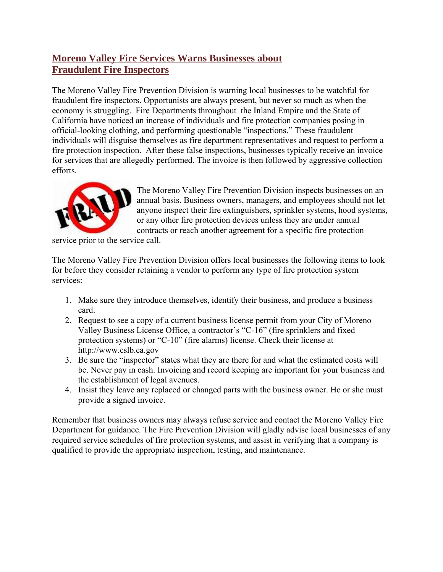# **Moreno Valley Fire Services Warns Businesses about Fraudulent Fire Inspectors**

The Moreno Valley Fire Prevention Division is warning local businesses to be watchful for fraudulent fire inspectors. Opportunists are always present, but never so much as when the economy is struggling. Fire Departments throughout the Inland Empire and the State of California have noticed an increase of individuals and fire protection companies posing in official-looking clothing, and performing questionable "inspections." These fraudulent individuals will disguise themselves as fire department representatives and request to perform a fire protection inspection. After these false inspections, businesses typically receive an invoice for services that are allegedly performed. The invoice is then followed by aggressive collection efforts.



The Moreno Valley Fire Prevention Division inspects businesses on an annual basis. Business owners, managers, and employees should not let anyone inspect their fire extinguishers, sprinkler systems, hood systems, or any other fire protection devices unless they are under annual contracts or reach another agreement for a specific fire protection

service prior to the service call.

The Moreno Valley Fire Prevention Division offers local businesses the following items to look for before they consider retaining a vendor to perform any type of fire protection system services:

- 1. Make sure they introduce themselves, identify their business, and produce a business card.
- 2. Request to see a copy of a current business license permit from your City of Moreno Valley Business License Office, a contractor's "C-16" (fire sprinklers and fixed protection systems) or "C-10" (fire alarms) license. Check their license at http://www.cslb.ca.gov
- 3. Be sure the "inspector" states what they are there for and what the estimated costs will be. Never pay in cash. Invoicing and record keeping are important for your business and the establishment of legal avenues.
- 4. Insist they leave any replaced or changed parts with the business owner. He or she must provide a signed invoice.

Remember that business owners may always refuse service and contact the Moreno Valley Fire Department for guidance. The Fire Prevention Division will gladly advise local businesses of any required service schedules of fire protection systems, and assist in verifying that a company is qualified to provide the appropriate inspection, testing, and maintenance.